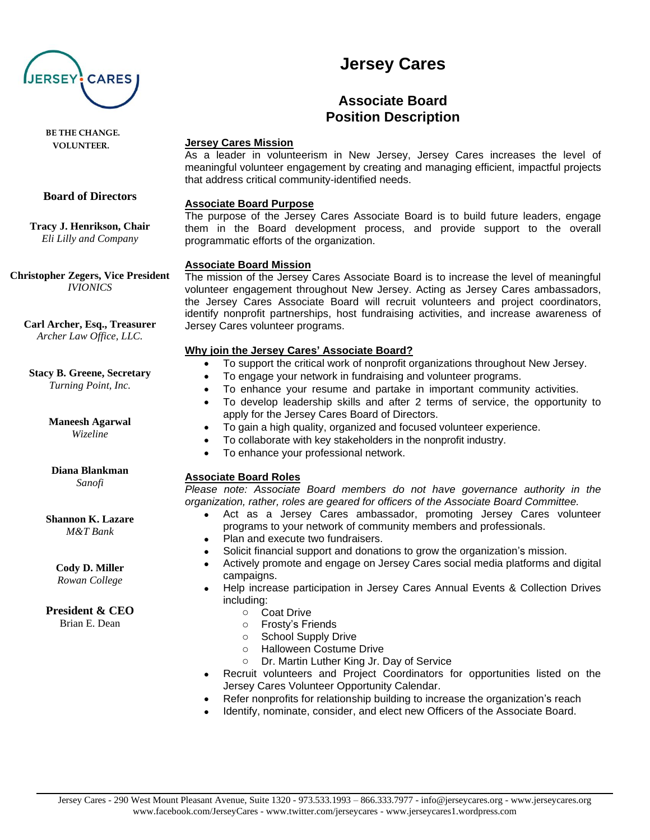

 **BE THE CHANGE. VOLUNTEER.**

#### **Board of Directors**

**Tracy J. Henrikson, Chair** *Eli Lilly and Company*

**Christopher Zegers, Vice President** *IVIONICS*

**Carl Archer, Esq., Treasurer** *Archer Law Office, LLC.*

#### **Stacy B. Greene, Secretary**

*Turning Point, Inc.*

#### **Maneesh Agarwal** *Wizeline*

#### **Diana Blankman** *Sanofi*

# **Shannon K. Lazare**

*M&T Bank*

## **Cody D. Miller**

*Rowan College*

### **President & CEO**

Brian E. Dean

# **Jersey Cares**

## **Associate Board Position Description**

#### **Jersey Cares Mission**

As a leader in volunteerism in New Jersey, Jersey Cares increases the level of meaningful volunteer engagement by creating and managing efficient, impactful projects that address critical community-identified needs.

#### **Associate Board Purpose**

The purpose of the Jersey Cares Associate Board is to build future leaders, engage them in the Board development process, and provide support to the overall programmatic efforts of the organization.

#### **Associate Board Mission**

The mission of the Jersey Cares Associate Board is to increase the level of meaningful volunteer engagement throughout New Jersey. Acting as Jersey Cares ambassadors, the Jersey Cares Associate Board will recruit volunteers and project coordinators, identify nonprofit partnerships, host fundraising activities, and increase awareness of Jersey Cares volunteer programs.

### **Why join the Jersey Cares' Associate Board?**

- To support the critical work of nonprofit organizations throughout New Jersey.
- To engage your network in fundraising and volunteer programs.
- To enhance your resume and partake in important community activities.
- To develop leadership skills and after 2 terms of service, the opportunity to apply for the Jersey Cares Board of Directors.
- To gain a high quality, organized and focused volunteer experience.
- To collaborate with key stakeholders in the nonprofit industry.
- To enhance your professional network.

### **Associate Board Roles**

*Please note: Associate Board members do not have governance authority in the organization, rather, roles are geared for officers of the Associate Board Committee.*

- Act as a Jersey Cares ambassador, promoting Jersey Cares volunteer programs to your network of community members and professionals.
- Plan and execute two fundraisers.
- Solicit financial support and donations to grow the organization's mission.
- Actively promote and engage on Jersey Cares social media platforms and digital campaigns.
- Help increase participation in Jersey Cares Annual Events & Collection Drives including:
	- o Coat Drive
	- o Frosty's Friends
	- o School Supply Drive
	- o Halloween Costume Drive
	- o Dr. Martin Luther King Jr. Day of Service
- Recruit volunteers and Project Coordinators for opportunities listed on the Jersey Cares Volunteer Opportunity Calendar.
- Refer nonprofits for relationship building to increase the organization's reach
- Identify, nominate, consider, and elect new Officers of the Associate Board.